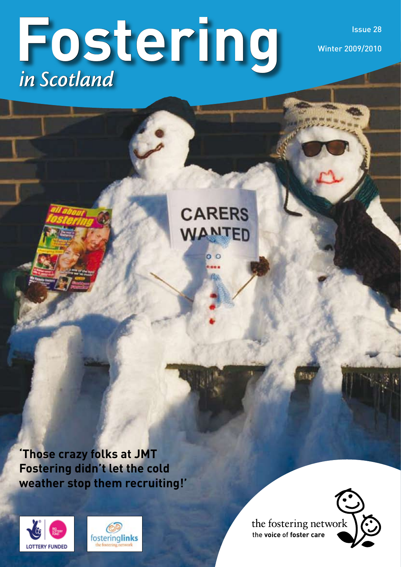# **Fostering** *in Scotland*

Issue 28 Winter 2009/2010

**CARERS** WANTED

**'Those crazy folks at JMT Fostering didn't let the cold weather stop them recruiting!'**





the fostering network the **voice** of **foster care**

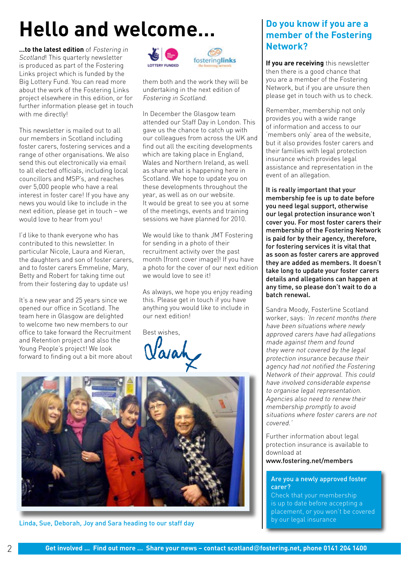# **Hello and welcome…**

**…to the latest edition** of Fostering in Scotland! This quarterly newsletter is produced as part of the Fostering Links project which is funded by the Big Lottery Fund. You can read more about the work of the Fostering Links project elsewhere in this edition, or for further information please get in touch with me directly!

This newsletter is mailed out to all our members in Scotland including foster carers, fostering services and a range of other organisations. We also send this out electronically via email to all elected officials, including local councillors and MSP's, and reaches over 5,000 people who have a real interest in foster care! If you have any news you would like to include in the next edition, please get in touch – we would love to hear from you!

I'd like to thank everyone who has contributed to this newsletter. In particular Nicole, Laura and Kieran, the daughters and son of foster carers, and to foster carers Emmeline, Mary, Betty and Robert for taking time out from their fostering day to update us!

It's a new year and 25 years since we opened our office in Scotland. The team here in Glasgow are delighted to welcome two new members to our office to take forward the Recruitment and Retention project and also the Young People's project! We look forward to finding out a bit more about





them both and the work they will be undertaking in the next edition of Fostering in Scotland.

In December the Glasgow team attended our Staff Day in London. This gave us the chance to catch up with our colleagues from across the UK and find out all the exciting developments which are taking place in England, Wales and Northern Ireland, as well as share what is happening here in Scotland. We hope to update you on these developments throughout the year, as well as on our website. It would be great to see you at some of the meetings, events and training sessions we have planned for 2010.

We would like to thank JMT Fostering for sending in a photo of their recruitment activity over the past month (front cover image)! If you have a photo for the cover of our next edition we would love to see it!

As always, we hope you enjoy reading this. Please get in touch if you have anything you would like to include in our next edition!

Best wishes,

Varal



Linda, Sue, Deborah, Joy and Sara heading to our staff day

## **Do you know if you are a member of the Fostering Network?**

**If you are receiving** this newsletter then there is a good chance that you are a member of the Fostering Network, but if you are unsure then please get in touch with us to check.

Remember, membership not only provides you with a wide range of information and access to our 'members only' area of the website, but it also provides foster carers and their families with legal protection insurance which provides legal assistance and representation in the event of an allegation.

It is really important that your membership fee is up to date before you need legal support, otherwise our legal protection insurance won't cover you. For most foster carers their membership of the Fostering Network is paid for by their agency, therefore, for fostering services it is vital that as soon as foster carers are approved they are added as members. It doesn't take long to update your foster carers details and allegations can happen at any time, so please don't wait to do a batch renewal.

Sandra Moody, Fosterline Scotland worker, says: 'In recent months there have been situations where newly approved carers have had allegations made against them and found they were not covered by the legal protection insurance because their agency had not notified the Fostering Network of their approval. This could have involved considerable expense to organise legal representation. Agencies also need to renew their membership promptly to avoid situations where foster carers are not covered.'

Further information about legal protection insurance is available to download at

www.fostering.net/members

#### Are you a newly approved foster carer?

Check that your membership is up to date before accepting a placement, or you won't be covered by our legal insurance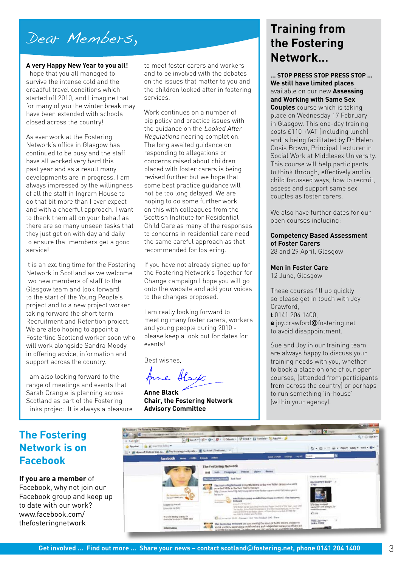## Dear Members,

#### **A very Happy New Year to you all!**

I hope that you all managed to survive the intense cold and the dreadful travel conditions which started off 2010, and I imagine that for many of you the winter break may have been extended with schools closed across the country!

As ever work at the Fostering Network's office in Glasgow has continued to be busy and the staff have all worked very hard this past year and as a result many developments are in progress. I am always impressed by the willingness of all the staff in Ingram House to do that bit more than I ever expect and with a cheerful approach. I want to thank them all on your behalf as there are so many unseen tasks that they just get on with day and daily to ensure that members get a good service!

It is an exciting time for the Fostering Network in Scotland as we welcome two new members of staff to the Glasgow team and look forward to the start of the Young People's project and to a new project worker taking forward the short term Recruitment and Retention project. We are also hoping to appoint a Fosterline Scotland worker soon who will work alongside Sandra Moody in offering advice, information and support across the country.

I am also looking forward to the range of meetings and events that Sarah Crangle is planning across Scotland as part of the Fostering Links project. It is always a pleasure to meet foster carers and workers and to be involved with the debates on the issues that matter to you and the children looked after in fostering services.

Work continues on a number of big policy and practice issues with the quidance on the Looked After Regulations nearing completion. The long awaited guidance on responding to allegations or concerns raised about children placed with foster carers is being revised further but we hope that some best practice guidance will not be too long delayed. We are hoping to do some further work on this with colleagues from the Scottish Institute for Residential Child Care as many of the responses to concerns in residential care need the same careful approach as that recommended for fostering.

If you have not already signed up for the Fostering Network's Together for Change campaign I hope you will go onto the website and add your voices to the changes proposed.

I am really looking forward to meeting many foster carers, workers and young people during 2010 please keep a look out for dates for events!

Best wishes,

Anne Black

**Anne Black Chair, the Fostering Network Advisory Committee**

## **Training from the Fostering Network…**

**… STOP PRESS STOP PRESS STOP ... We still have limited places**  available on our new **Assessing and Working with Same Sex Couples** course which is taking place on Wednesday 17 February in Glasgow. This one-day training costs £110 +VAT (including lunch) and is being facilitated by Dr Helen Cosis Brown, Principal Lecturer in Social Work at Middlesex University. This course will help participants to think through, effectively and in child focussed ways, how to recruit, assess and support same sex couples as foster carers.

We also have further dates for our open courses including:

#### **Competency Based Assessment of Foster Carers** 28 and 29 April, Glasgow

#### **Men in Foster Care**

12 June, Glasgow

These courses fill up quickly so please get in touch with Joy Crawford, **t** 0141 204 1400, **e** joy.crawford@fostering.net to avoid disappointment.

Sue and Joy in our training team are always happy to discuss your training needs with you, whether to book a place on one of our open courses, (attended from participants from across the country) or perhaps to run something 'in-house' (within your agency).

## **The Fostering Network is on Facebook**

**If you are a member** of Facebook, why not join our Facebook group and keep up to date with our work? www.facebook.com/ thefosteringnetwork

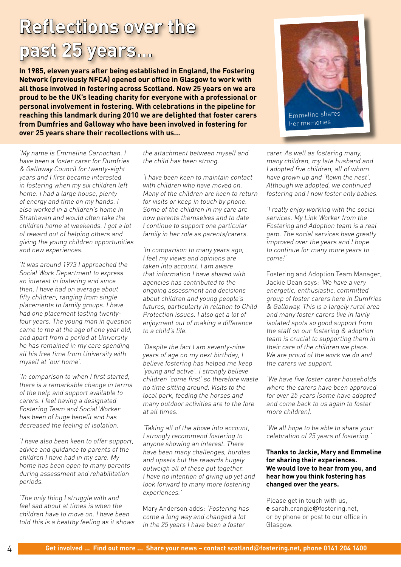## **Reflections over the past 25 years…**

**In 1985, eleven years after being established in England, the Fostering Network (previously NFCA) opened our office in Glasgow to work with all those involved in fostering across Scotland. Now 25 years on we are proud to be the UK's leading charity for everyone with a professional or personal involvement in fostering. With celebrations in the pipeline for reaching this landmark during 2010 we are delighted that foster carers from Dumfries and Galloway who have been involved in fostering for over 25 years share their recollections with us…**

'My name is Emmeline Carnochan. I have been a foster carer for Dumfries & Galloway Council for twenty-eight years and I first became interested in fostering when my six children left home. I had a large house, plenty of energy and time on my hands. I also worked in a children's home in Strathaven and would often take the children home at weekends. I got a lot of reward out of helping others and giving the young children opportunities and new experiences.

'It was around 1973 I approached the Social Work Department to express an interest in fostering and since then, I have had on average about fifty children, ranging from single placements to family groups. I have had one placement lasting twentyfour years. The young man in question came to me at the age of one year old, and apart from a period at University he has remained in my care spending all his free time from University with myself at 'our home'.

'In comparison to when I first started, there is a remarkable change in terms of the help and support available to carers. I feel having a designated Fostering Team and Social Worker has been of huge benefit and has decreased the feeling of isolation.

'I have also been keen to offer support, advice and guidance to parents of the children I have had in my care. My home has been open to many parents during assessment and rehabilitation periods.

'The only thing I struggle with and feel sad about at times is when the children have to move on. I have been told this is a healthy feeling as it shows the attachment between myself and the child has been strong.

'I have been keen to maintain contact with children who have moved on. Many of the children are keen to return for visits or keep in touch by phone. Some of the children in my care are now parents themselves and to date I continue to support one particular family in her role as parents/carers.

'In comparison to many years ago, I feel my views and opinions are taken into account. I am aware that information I have shared with agencies has contributed to the ongoing assessment and decisions about children and young people's futures, particularly in relation to Child Protection issues. I also get a lot of enjoyment out of making a difference to a child's life.

'Despite the fact I am seventy-nine years of age on my next birthday, I believe fostering has helped me keep 'young and active'. I strongly believe children 'come first' so therefore waste no time sitting around. Visits to the local park, feeding the horses and many outdoor activities are to the fore at all times.

'Taking all of the above into account, I strongly recommend fostering to anyone showing an interest. There have been many challenges, hurdles and upsets but the rewards hugely outweigh all of these put together. I have no intention of giving up yet and look forward to many more fostering experiences.'

Mary Anderson adds: 'Fostering has come a long way and changed a lot in the 25 years I have been a foster



carer. As well as fostering many, many children, my late husband and I adopted five children, all of whom have grown up and 'flown the nest'. Although we adopted, we continued fostering and I now foster only babies.

'I really enjoy working with the social services. My Link Worker from the Fostering and Adoption team is a real gem. The social services have greatly improved over the years and I hope to continue for many more years to come!'

Fostering and Adoption Team Manager, Jackie Dean says: 'We have a very energetic, enthusiastic, committed group of foster carers here in Dumfries & Galloway. This is a largely rural area and many foster carers live in fairly isolated spots so good support from the staff on our fostering & adoption team is crucial to supporting them in their care of the children we place. We are proud of the work we do and the carers we support.

'We have five foster carer households where the carers have been approved for over 25 years (some have adopted and come back to us again to foster more children).

'We all hope to be able to share your celebration of 25 years of fostering.'

**Thanks to Jackie, Mary and Emmeline for sharing their experiences. We would love to hear from you, and hear how you think fostering has changed over the years.** 

Please get in touch with us, **e** sarah.crangle@fostering.net, or by phone or post to our office in Glasgow.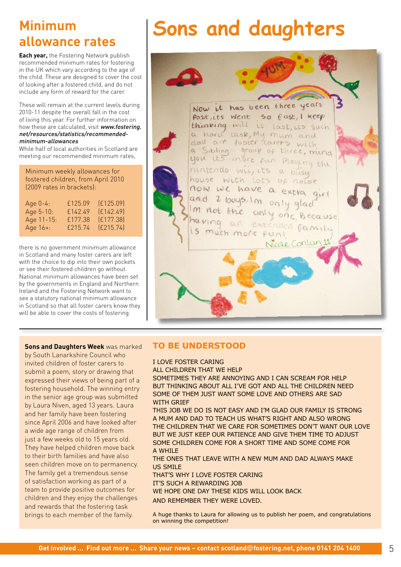## **Minimum allowance rates**

**Each year,** the Fostering Network publish recommended minimum rates for fostering in the UK which vary according to the age of the child. These are designed to cover the cost of looking after a fostered child, and do not include any form of reward for the carer.

These will remain at the current levels during 2010-11 despite the overall fall in the cost of living this year. For further information on how these are calculated, visit www.fostering. net/resources/statistics/recommendedminimum-allowances

While half of local authorities in Scotland are meeting our recommended minimum rates,

Minimum weekly allowances for fostered children, from April 2010 (2009 rates in brackets):

| Age $0-4$ : | £125.09 | (E125.09) |
|-------------|---------|-----------|
| Age 5-10:   | £142.49 | [£142.49] |
| Age 11-15:  | £177.38 | (E177.38) |
| Age $16+$ : | £215.74 | (E215.74) |

there is no government minimum allowance in Scotland and many foster carers are left with the choice to dip into their own pockets or see their fostered children go without. National minimum allowances have been set by the governments in England and Northern Ireland and the Fostering Network want to see a statutory national minimum allowance in Scotland so that all foster carers know they will be able to cover the costs of fostering.

**Sons and Daughters Week** was marked by South Lanarkshire Council who invited children of foster carers to submit a poem, story or drawing that expressed their views of being part of a fostering household. The winning entry in the senior age group was submitted by Laura Niven, aged 13 years. Laura and her family have been fostering since April 2006 and have looked after a wide age range of children from just a few weeks old to 15 years old. They have helped children move back to their birth families and have also seen children move on to permanency. The family get a tremendous sense of satisfaction working as part of a team to provide positive outcomes for children and they enjoy the challenges and rewards that the fostering task brings to each member of the family.

# **Sons and daughters**



## **TO BE UNDERSTOOD**

I LOVE FOSTER CARING

ALL CHILDREN THAT WE HELP

SOMETIMES THEY ARE ANNOYING AND I CAN SCREAM FOR HELP BUT THINKING ABOUT ALL I'VE GOT AND ALL THE CHILDREN NEED SOME OF THEM JUST WANT SOME LOVE AND OTHERS ARE SAD WITH GRIEF

THIS JOB WE DO IS NOT EASY AND I'M GLAD OUR FAMILY IS STRONG A MUM AND DAD TO TEACH US WHAT'S RIGHT AND ALSO WRONG THE CHILDREN THAT WE CARE FOR SOMETIMES DON'T WANT OUR LOVE BUT WE JUST KEEP OUR PATIENCE AND GIVE THEM TIME TO ADJUST SOME CHILDREN COME FOR A SHORT TIME AND SOME COME FOR A WHILE

THE ONES THAT LEAVE WITH A NEW MUM AND DAD ALWAYS MAKE US SMILE

THAT'S WHY I LOVE FOSTER CARING IT'S SUCH A REWARDING JOB WE HOPE ONE DAY THESE KIDS WILL LOOK BACK AND REMEMBER THEY WERE LOVED.

A huge thanks to Laura for allowing us to publish her poem, and congratulations on winning the competition!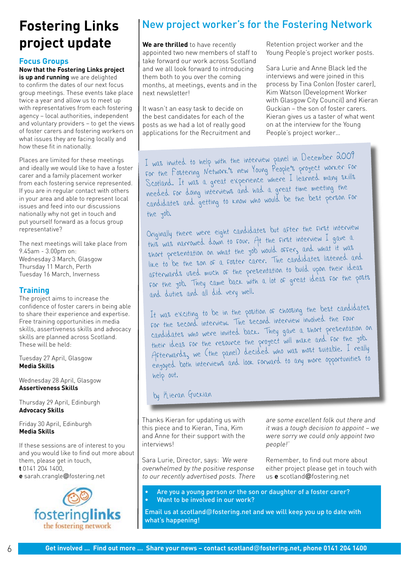## **Fostering Links project update**

### **Focus Groups**

#### **Now that the Fostering Links project is up and running** we are delighted

to confirm the dates of our next focus group meetings. These events take place twice a year and allow us to meet up with representatives from each fostering agency – local authorities, independent and voluntary providers – to get the views of foster carers and fostering workers on what issues they are facing locally and how these fit in nationally.

Places are limited for these meetings and ideally we would like to have a foster carer and a family placement worker from each fostering service represented. If you are in regular contact with others in your area and able to represent local issues and feed into our discussions nationally why not get in touch and put yourself forward as a focus group representative?

The next meetings will take place from 9.45am - 3.00pm on: Wednesday 3 March, Glasgow Thursday 11 March, Perth Tuesday 16 March, Inverness

## **Training**

The project aims to increase the confidence of foster carers in being able to share their experience and expertise. Free training opportunities in media skills, assertiveness skills and advocacy skills are planned across Scotland. These will be held:

Tuesday 27 April, Glasgow **Media Skills**

Wednesday 28 April, Glasgow **Assertiveness Skills**

Thursday 29 April, Edinburgh **Advocacy Skills**

Friday 30 April, Edinburgh **Media Skills**

If these sessions are of interest to you and you would like to find out more about them, please get in touch, **t** 0141 204 1400, **e** sarah.crangle@fostering.net



## New project worker's for the Fostering Network

**We are thrilled** to have recently appointed two new members of staff to take forward our work across Scotland and we all look forward to introducing them both to you over the coming months, at meetings, events and in the next newsletter!

It wasn't an easy task to decide on the best candidates for each of the posts as we had a lot of really good applications for the Recruitment and Retention project worker and the Young People's project worker posts.

Sara Lurie and Anne Black led the interviews and were joined in this process by Tina Conlon (foster carer), Kim Watson (Development Worker with Glasgow City Council) and Kieran Guckian – the son of foster carers. Kieran gives us a taster of what went on at the interview for the Young People's project worker…

I was invited to help with the interview panel in December 2009 for the Fostering Network's new Young People's project worker for Scotland. It was a great experience where I learned many skills needed for doing interviews and had a great time meeting the candidates and getting to know who would be the best person for the job.

Originally there were eight candidates but after the first interview this was narrowed down to four. At the first interview I gave a short presentation on what the job would offer, and what it was like to be the son of a foster carer. The candidates listened and afterwards used much of the presentation to build upon their ideas for the job. They came back with a lot of great ideas for the posts and duties and all did very well.

It was exciting to be in the position of choosing the best candidates for the second interview. The second interview involved the four candidates who were invited back. They gave a short presentation on their ideas for the resource the project will make and for the job. Afterwards, we (the panel) decided who was most suitable. I really enjoyed both interviews and look forward to any more opportunities to help out.

## by Kieran Guckian

Thanks Kieran for updating us with this piece and to Kieran, Tina, Kim and Anne for their support with the interviews!

Sara Lurie, Director, says: 'We were overwhelmed by the positive response to our recently advertised posts. There are some excellent folk out there and it was a tough decision to appoint – we were sorry we could only appoint two people!'

Remember, to find out more about either project please get in touch with us **e** scotland@fostering.net

Are you a young person or the son or daughter of a foster carer? Want to be involved in our work?

Email us at scotland@fostering.net and we will keep you up to date with what's happening!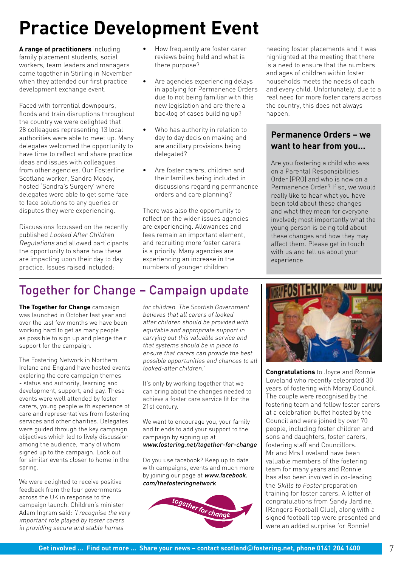# **Practice Development Event**

**A range of practitioners** including family placement students, social workers, team leaders and managers came together in Stirling in November when they attended our first practice development exchange event.

Faced with torrential downpours, floods and train disruptions throughout the country we were delighted that 28 colleagues representing 13 local authorities were able to meet up. Many delegates welcomed the opportunity to have time to reflect and share practice ideas and issues with colleagues from other agencies. Our Fosterline Scotland worker, Sandra Moody, hosted 'Sandra's Surgery' where delegates were able to get some face to face solutions to any queries or disputes they were experiencing.

Discussions focussed on the recently published Looked After Children Regulations and allowed participants the opportunity to share how these are impacting upon their day to day practice. Issues raised included:

- How frequently are foster carer reviews being held and what is there purpose? •
- Are agencies experiencing delays in applying for Permanence Orders due to not being familiar with this new legislation and are there a backlog of cases building up? •
- Who has authority in relation to day to day decision making and are ancillary provisions being delegated? •
- Are foster carers, children and their families being included in discussions regarding permanence orders and care planning? •

There was also the opportunity to reflect on the wider issues agencies are experiencing. Allowances and fees remain an important element, and recruiting more foster carers is a priority. Many agencies are experiencing an increase in the numbers of younger children

needing foster placements and it was highlighted at the meeting that there is a need to ensure that the numbers and ages of children within foster households meets the needs of each and every child. Unfortunately, due to a real need for more foster carers across the country, this does not always happen.

#### Overall the meeting was a successful **Permanence Orders – we want to hear from you...**

Are you fostering a child who was on a Parental Responsibilities Order (PRO) and who is now on a Permanence Order? If so, we would really like to hear what you have been told about these changes and what they mean for everyone involved; most importantly what the young person is being told about these changes and how they may affect them. Please get in touch with us and tell us about your experience.

## Together for Change – Campaign update

**The Together for Change** campaign was launched in October last year and over the last few months we have been working hard to get as many people as possible to sign up and pledge their support for the campaign.

The Fostering Network in Northern Ireland and England have hosted events exploring the core campaign themes - status and authority, learning and development, support, and pay. These events were well attended by foster carers, young people with experience of care and representatives from fostering services and other charities. Delegates were guided through the key campaign objectives which led to lively discussion among the audience, many of whom signed up to the campaign. Look out for similar events closer to home in the spring.

We were delighted to receive positive feedback from the four governments across the UK in response to the campaign launch. Children's minister Adam Ingram said: 'I recognise the very important role played by foster carers in providing secure and stable homes

for children. The Scottish Government believes that all carers of lookedafter children should be provided with equitable and appropriate support in carrying out this valuable service and that systems should be in place to ensure that carers can provide the best possible opportunities and chances to all looked-after children.'

It's only by working together that we can bring about the changes needed to achieve a foster care service fit for the 21st century.

We want to encourage you, your family and friends to add your support to the campaign by signing up at www.fostering.net/together-for-change

Do you use facebook? Keep up to date with campaigns, events and much more by joining our page at www.facebook. com/thefosteringnetwork





**Congratulations** to Joyce and Ronnie Loveland who recently celebrated 30 years of fostering with Moray Council. The couple were recognised by the fostering team and fellow foster carers at a celebration buffet hosted by the Council and were joined by over 70 people, including foster children and sons and daughters, foster carers, fostering staff and Councillors. Mr and Mrs Loveland have been valuable members of the fostering team for many years and Ronnie has also been involved in co-leading the Skills to Foster preparation training for foster carers. A letter of congratulations from Sandy Jardine, (Rangers Football Club), along with a signed football top were presented and were an added surprise for Ronnie!